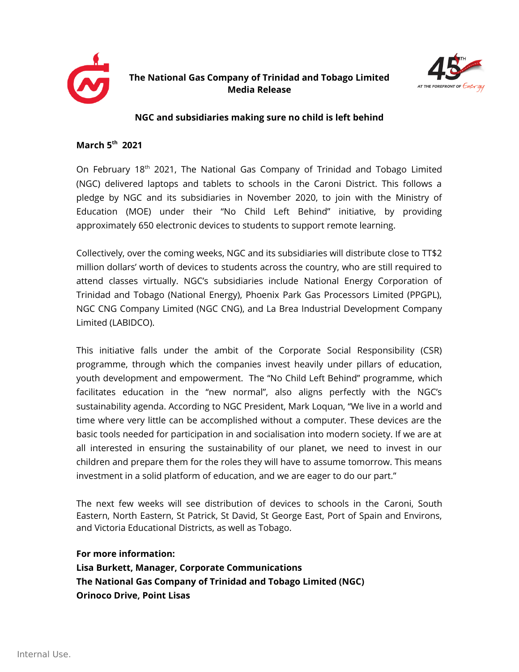

## **The National Gas Company of Trinidad and Tobago Limited Media Release**



## **NGC and subsidiaries making sure no child is left behind**

## **March 5th 2021**

On February 18<sup>th</sup> 2021, The National Gas Company of Trinidad and Tobago Limited (NGC) delivered laptops and tablets to schools in the Caroni District. This follows a pledge by NGC and its subsidiaries in November 2020, to join with the Ministry of Education (MOE) under their "No Child Left Behind" initiative, by providing approximately 650 electronic devices to students to support remote learning.

Collectively, over the coming weeks, NGC and its subsidiaries will distribute close to TT\$2 million dollars' worth of devices to students across the country, who are still required to attend classes virtually. NGC's subsidiaries include National Energy Corporation of Trinidad and Tobago (National Energy), Phoenix Park Gas Processors Limited (PPGPL), NGC CNG Company Limited (NGC CNG), and La Brea Industrial Development Company Limited (LABIDCO).

This initiative falls under the ambit of the Corporate Social Responsibility (CSR) programme, through which the companies invest heavily under pillars of education, youth development and empowerment. The "No Child Left Behind" programme, which facilitates education in the "new normal", also aligns perfectly with the NGC's sustainability agenda. According to NGC President, Mark Loquan, "We live in a world and time where very little can be accomplished without a computer. These devices are the basic tools needed for participation in and socialisation into modern society. If we are at all interested in ensuring the sustainability of our planet, we need to invest in our children and prepare them for the roles they will have to assume tomorrow. This means investment in a solid platform of education, and we are eager to do our part."

The next few weeks will see distribution of devices to schools in the Caroni, South Eastern, North Eastern, St Patrick, St David, St George East, Port of Spain and Environs, and Victoria Educational Districts, as well as Tobago.

## **For more information:**

**Lisa Burkett, Manager, Corporate Communications The National Gas Company of Trinidad and Tobago Limited (NGC) Orinoco Drive, Point Lisas**